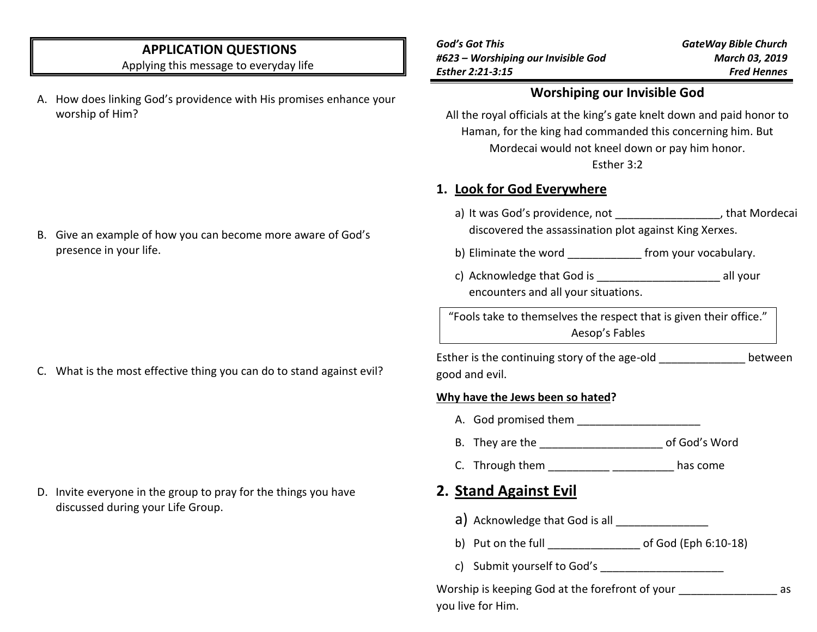## **APPLICATION QUESTIONS**

Applying this message to everyday life

- A. How does linking God's providence with His promises enhance your worship of Him?
- *God's Got This #623 – Worshiping our Invisible God Esther 2:21-3:15*

### **Worshiping our Invisible God**

All the royal officials at the king's gate knelt down and paid honor to Haman, for the king had commanded this concerning him. But Mordecai would not kneel down or pay him honor. Esther 3:2

## **1. Look for God Everywhere**

- a) It was God's providence, not \_\_\_\_\_\_\_\_\_\_\_\_\_\_\_\_\_\_, that Mordecai discovered the assassination plot against King Xerxes.
- b) Eliminate the word **Eliminate** the word **of the state of the state of the state of the state of the state of the state of the state of the state of the state of the state of the state of the state of the state of the st**
- c) Acknowledge that God is example all your encounters and all your situations.

"Fools take to themselves the respect that is given their office." Aesop's Fables

Esther is the continuing story of the age-old between good and evil.

#### **Why have the Jews been so hated?**

- A. God promised them \_\_\_\_\_\_\_\_\_\_\_\_\_\_\_\_\_\_\_\_
- B. They are the **Example 20** of God's Word
- C. Through them \_\_\_\_\_\_\_\_\_\_\_\_\_\_\_\_\_\_\_\_\_\_\_\_\_\_has come

# **2. Stand Against Evil**

- $a)$  Acknowledge that God is all  $\frac{1}{1}$
- b) Put on the full of God (Eph 6:10-18)
- c) Submit yourself to God's

Worship is keeping God at the forefront of your as you live for Him.

### B. Give an example of how you can become more aware of God's presence in your life.

C. What is the most effective thing you can do to stand against evil?

D. Invite everyone in the group to pray for the things you have discussed during your Life Group.